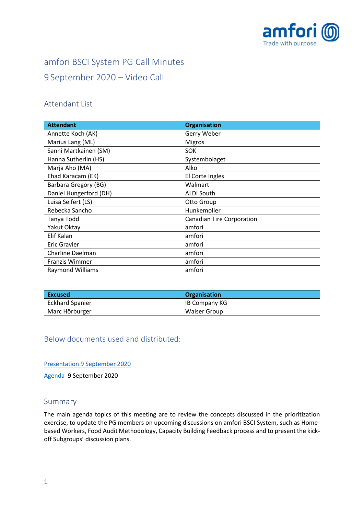

# amfori BSCI System PG Call Minutes 9 September 2020 – Video Call

### Attendant List

| <b>Attendant</b>        | <b>Organisation</b>              |
|-------------------------|----------------------------------|
| Annette Koch (AK)       | Gerry Weber                      |
| Marius Lang (ML)        | <b>Migros</b>                    |
| Sanni Martkainen (SM)   | <b>SOK</b>                       |
| Hanna Sutherlin (HS)    | Systembolaget                    |
| Marja Aho (MA)          | Alko                             |
| Ehad Karacam (EK)       | El Corte Ingles                  |
| Barbara Gregory (BG)    | Walmart                          |
| Daniel Hungerford (DH)  | <b>ALDI South</b>                |
| Luisa Seifert (LS)      | Otto Group                       |
| Rebecka Sancho          | Hunkemoller                      |
| Tanya Todd              | <b>Canadian Tire Corporation</b> |
| Yakut Oktay             | amfori                           |
| Elif Kalan              | amfori                           |
| <b>Eric Gravier</b>     | amfori                           |
| Charline Daelman        | amfori                           |
| <b>Franzis Wimmer</b>   | amfori                           |
| <b>Raymond Williams</b> | amfori                           |

| l Excused              | <b>Organisation</b> |
|------------------------|---------------------|
| <b>Eckhard Spanier</b> | IB Company KG       |
| Marc Hörburger         | Walser Group        |

Below documents used and distributed:

Presentation [9 September 2020](https://foreigntradeassociation.sharepoint.com/:b:/r/sites/PGC/Meeting%20Minutes/2020/07%20-%209%20September%202020/Presentation_amfori%20BSCI%20System%20PG%20Call_9Sep2020.pdf?csf=1&web=1&e=NRU1nq)

[Agenda](https://foreigntradeassociation.sharepoint.com/:b:/r/sites/PGC/Meeting%20Minutes/2020/07%20-%209%20September%202020/09092020_amfori%20System%20PG%20Call%20September%202020%20Agenda.pdf?csf=1&web=1&e=ouCfWS) 9 September 2020

#### Summary

The main agenda topics of this meeting are to review the concepts discussed in the prioritization exercise, to update the PG members on upcoming discussions on amfori BSCI System, such as Homebased Workers, Food Audit Methodology, Capacity Building Feedback process and to present the kickoff Subgroups' discussion plans.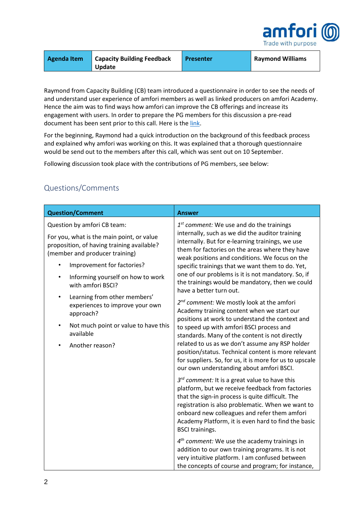

| Agenda Item | <b>Capacity Building Feedback</b> | <b>Presenter</b> | Raymond Williams |
|-------------|-----------------------------------|------------------|------------------|
|             | <b>Update</b>                     |                  |                  |

Raymond from Capacity Building (CB) team introduced a questionnaire in order to see the needs of and understand user experience of amfori members as well as linked producers on amfori Academy. Hence the aim was to find ways how amfori can improve the CB offerings and increase its engagement with users. In order to prepare the PG members for this discussion a pre-read document has been sent prior to this call. Here is the [link.](https://foreigntradeassociation.sharepoint.com/:w:/r/sites/PGC/Meeting%20Minutes/2020/07%20-%209%20September%202020/amfori_CB_questions_PG_092020.docx?d=w97da8743f55a47279a68b8ddfa0aace7&csf=1&web=1&e=5kmf7V)

For the beginning, Raymond had a quick introduction on the background of this feedback process and explained why amfori was working on this. It was explained that a thorough questionnaire would be send out to the members after this call, which was sent out on 10 September.

Following discussion took place with the contributions of PG members, see below:

| <b>Question/Comment</b>                                                                                                                                                                                                                               | <b>Answer</b>                                                                                                                                                                                                                                                                                                                                                                                                                                                  |
|-------------------------------------------------------------------------------------------------------------------------------------------------------------------------------------------------------------------------------------------------------|----------------------------------------------------------------------------------------------------------------------------------------------------------------------------------------------------------------------------------------------------------------------------------------------------------------------------------------------------------------------------------------------------------------------------------------------------------------|
| Question by amfori CB team:<br>For you, what is the main point, or value<br>proposition, of having training available?<br>(member and producer training)<br>Improvement for factories?<br>Informing yourself on how to work<br>٠<br>with amfori BSCI? | $1st$ comment: We use and do the trainings<br>internally, such as we did the auditor training<br>internally. But for e-learning trainings, we use<br>them for factories on the areas where they have<br>weak positions and conditions. We focus on the<br>specific trainings that we want them to do. Yet,<br>one of our problems is it is not mandatory. So, if<br>the trainings would be mandatory, then we could<br>have a better turn out.                 |
| Learning from other members'<br>٠<br>experiences to improve your own<br>approach?<br>Not much point or value to have this<br>$\bullet$<br>available<br>Another reason?                                                                                | $2^{nd}$ comment: We mostly look at the amfori<br>Academy training content when we start our<br>positions at work to understand the context and<br>to speed up with amfori BSCI process and<br>standards. Many of the content is not directly<br>related to us as we don't assume any RSP holder<br>position/status. Technical content is more relevant<br>for suppliers. So, for us, it is more for us to upscale<br>our own understanding about amfori BSCI. |
|                                                                                                                                                                                                                                                       | $3^{rd}$ comment: It is a great value to have this<br>platform, but we receive feedback from factories<br>that the sign-in process is quite difficult. The<br>registration is also problematic. When we want to<br>onboard new colleagues and refer them amfori<br>Academy Platform, it is even hard to find the basic<br><b>BSCI</b> trainings.                                                                                                               |
|                                                                                                                                                                                                                                                       | $4th$ comment: We use the academy trainings in<br>addition to our own training programs. It is not<br>very intuitive platform. I am confused between<br>the concepts of course and program; for instance,                                                                                                                                                                                                                                                      |

## Questions/Comments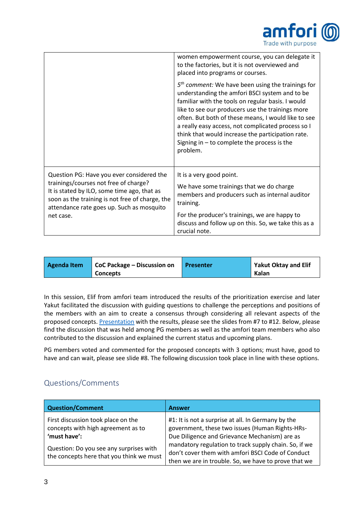

|                                                                                                                                                                                      | women empowerment course, you can delegate it                                                                                                                                                                                                                                                                                                                                                                                                 |
|--------------------------------------------------------------------------------------------------------------------------------------------------------------------------------------|-----------------------------------------------------------------------------------------------------------------------------------------------------------------------------------------------------------------------------------------------------------------------------------------------------------------------------------------------------------------------------------------------------------------------------------------------|
|                                                                                                                                                                                      | to the factories, but it is not overviewed and<br>placed into programs or courses.                                                                                                                                                                                                                                                                                                                                                            |
|                                                                                                                                                                                      | $5th$ comment: We have been using the trainings for<br>understanding the amfori BSCI system and to be<br>familiar with the tools on regular basis. I would<br>like to see our producers use the trainings more<br>often. But both of these means, I would like to see<br>a really easy access, not complicated process so I<br>think that would increase the participation rate.<br>Signing in $-$ to complete the process is the<br>problem. |
| Question PG: Have you ever considered the                                                                                                                                            | It is a very good point.                                                                                                                                                                                                                                                                                                                                                                                                                      |
| trainings/courses not free of charge?<br>It is stated by ILO, some time ago, that as<br>soon as the training is not free of charge, the<br>attendance rate goes up. Such as mosquito | We have some trainings that we do charge<br>members and producers such as internal auditor<br>training.                                                                                                                                                                                                                                                                                                                                       |
| net case.                                                                                                                                                                            | For the producer's trainings, we are happy to<br>discuss and follow up on this. So, we take this as a<br>crucial note.                                                                                                                                                                                                                                                                                                                        |

| CoC Package – Discussion on<br>Agenda Item<br><b>Concepts</b> | <b>Presenter</b> | <b>Yakut Oktay and Elif</b><br>Kalan |
|---------------------------------------------------------------|------------------|--------------------------------------|
|---------------------------------------------------------------|------------------|--------------------------------------|

In this session, Elif from amfori team introduced the results of the prioritization exercise and later Yakut facilitated the discussion with guiding questions to challenge the perceptions and positions of the members with an aim to create a consensus through considering all relevant aspects of the proposed concepts[. Presentation](https://foreigntradeassociation.sharepoint.com/:b:/r/sites/PGC/Meeting%20Minutes/2020/07%20-%209%20September%202020/Presentation_amfori%20BSCI%20System%20PG%20Call_9Sep2020.pdf?csf=1&web=1&e=vrwnGv) with the results, please see the slides from #7 to #12. Below, please find the discussion that was held among PG members as well as the amfori team members who also contributed to the discussion and explained the current status and upcoming plans.

PG members voted and commented for the proposed concepts with 3 options; must have, good to have and can wait, please see slide #8. The following discussion took place in line with these options.

## Questions/Comments

| <b>Question/Comment</b>                                                             | <b>Answer</b>                                                                                                                                                      |
|-------------------------------------------------------------------------------------|--------------------------------------------------------------------------------------------------------------------------------------------------------------------|
| First discussion took place on the<br>concepts with high agreement as to            | #1: It is not a surprise at all. In Germany by the<br>government, these two issues (Human Rights-HRs-                                                              |
| 'must have':                                                                        | Due Diligence and Grievance Mechanism) are as                                                                                                                      |
| Question: Do you see any surprises with<br>the concepts here that you think we must | mandatory regulation to track supply chain. So, if we<br>don't cover them with amfori BSCI Code of Conduct<br>then we are in trouble. So, we have to prove that we |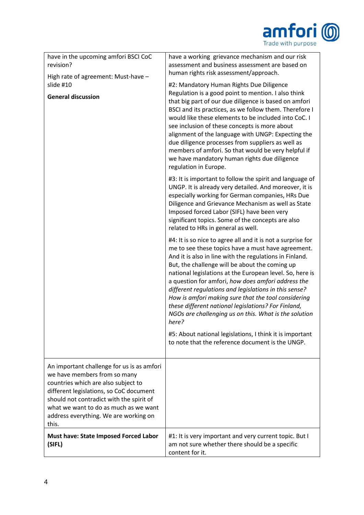|                                                                                                                                                                                                                                                                                                     | amfor<br>Trade with purpose                                                                                                                                                                                                                                                                                                                                                                                                                                                                                                                                                               |  |
|-----------------------------------------------------------------------------------------------------------------------------------------------------------------------------------------------------------------------------------------------------------------------------------------------------|-------------------------------------------------------------------------------------------------------------------------------------------------------------------------------------------------------------------------------------------------------------------------------------------------------------------------------------------------------------------------------------------------------------------------------------------------------------------------------------------------------------------------------------------------------------------------------------------|--|
| have in the upcoming amfori BSCI CoC<br>revision?<br>High rate of agreement: Must-have -                                                                                                                                                                                                            | have a working grievance mechanism and our risk<br>assessment and business assessment are based on<br>human rights risk assessment/approach.                                                                                                                                                                                                                                                                                                                                                                                                                                              |  |
| slide #10<br><b>General discussion</b>                                                                                                                                                                                                                                                              | #2: Mandatory Human Rights Due Diligence<br>Regulation is a good point to mention. I also think<br>that big part of our due diligence is based on amfori<br>BSCI and its practices, as we follow them. Therefore I<br>would like these elements to be included into CoC. I<br>see inclusion of these concepts is more about<br>alignment of the language with UNGP: Expecting the<br>due diligence processes from suppliers as well as<br>members of amfori. So that would be very helpful if<br>we have mandatory human rights due diligence<br>regulation in Europe.                    |  |
|                                                                                                                                                                                                                                                                                                     | #3: It is important to follow the spirit and language of<br>UNGP. It is already very detailed. And moreover, it is<br>especially working for German companies, HRs Due<br>Diligence and Grievance Mechanism as well as State<br>Imposed forced Labor (SIFL) have been very<br>significant topics. Some of the concepts are also<br>related to HRs in general as well.                                                                                                                                                                                                                     |  |
|                                                                                                                                                                                                                                                                                                     | #4: It is so nice to agree all and it is not a surprise for<br>me to see these topics have a must have agreement.<br>And it is also in line with the regulations in Finland.<br>But, the challenge will be about the coming up<br>national legislations at the European level. So, here is<br>a question for amfori, how does amfori address the<br>different regulations and legislations in this sense?<br>How is amfori making sure that the tool considering<br>these different national legislations? For Finland,<br>NGOs are challenging us on this. What is the solution<br>here? |  |
|                                                                                                                                                                                                                                                                                                     | #5: About national legislations, I think it is important<br>to note that the reference document is the UNGP.                                                                                                                                                                                                                                                                                                                                                                                                                                                                              |  |
| An important challenge for us is as amfori<br>we have members from so many<br>countries which are also subject to<br>different legislations, so CoC document<br>should not contradict with the spirit of<br>what we want to do as much as we want<br>address everything. We are working on<br>this. |                                                                                                                                                                                                                                                                                                                                                                                                                                                                                                                                                                                           |  |
| Must have: State Imposed Forced Labor<br>(SIFL)                                                                                                                                                                                                                                                     | #1: It is very important and very current topic. But I<br>am not sure whether there should be a specific<br>content for it.                                                                                                                                                                                                                                                                                                                                                                                                                                                               |  |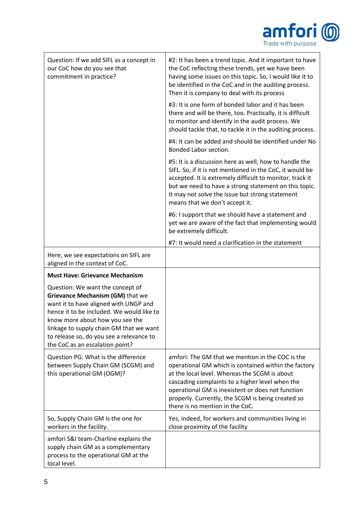

| Question: If we add SIFL as a concept in<br>our CoC how do you see that<br>commitment in practice?                                                                                                                                                                                                                      | #2: It has been a trend topic. And it important to have<br>the CoC reflecting these trends, yet we have been<br>having some issues on this topic. So, I would like it to<br>be identified in the CoC and in the auditing process.<br>Then it is company to deal with its process                                                                          |
|-------------------------------------------------------------------------------------------------------------------------------------------------------------------------------------------------------------------------------------------------------------------------------------------------------------------------|-----------------------------------------------------------------------------------------------------------------------------------------------------------------------------------------------------------------------------------------------------------------------------------------------------------------------------------------------------------|
|                                                                                                                                                                                                                                                                                                                         | #3: It is one form of bonded labor and it has been<br>there and will be there, too. Practically, it is difficult<br>to monitor and identify in the audit process. We<br>should tackle that, to tackle it in the auditing process.                                                                                                                         |
|                                                                                                                                                                                                                                                                                                                         | #4: It can be added and should be identified under No<br>Bonded Labor section.                                                                                                                                                                                                                                                                            |
|                                                                                                                                                                                                                                                                                                                         | #5: It is a discussion here as well, how to handle the<br>SIFL. So, if it is not mentioned in the CoC, it would be<br>accepted. It is extremely difficult to monitor, track it<br>but we need to have a strong statement on this topic.<br>It may not solve the issue but strong statement<br>means that we don't accept it.                              |
|                                                                                                                                                                                                                                                                                                                         | #6: I support that we should have a statement and<br>yet we are aware of the fact that implementing would<br>be extremely difficult.                                                                                                                                                                                                                      |
|                                                                                                                                                                                                                                                                                                                         | #7: It would need a clarification in the statement                                                                                                                                                                                                                                                                                                        |
| Here, we see expectations on SIFL are<br>aligned in the context of CoC.                                                                                                                                                                                                                                                 |                                                                                                                                                                                                                                                                                                                                                           |
| <b>Must Have: Grievance Mechanism</b>                                                                                                                                                                                                                                                                                   |                                                                                                                                                                                                                                                                                                                                                           |
| Question: We want the concept of<br>Grievance Mechanism (GM) that we<br>want it to have aligned with UNGP and<br>hence it to be included. We would like to<br>know more about how you see the<br>linkage to supply chain GM that we want<br>to release so, do you see a relevance to<br>the CoC as an escalation point? |                                                                                                                                                                                                                                                                                                                                                           |
| Question PG: What is the difference<br>between Supply Chain GM (SCGM) and<br>this operational GM (OGM)?                                                                                                                                                                                                                 | amfori: The GM that we mention in the COC is the<br>operational GM which is contained within the factory<br>at the local level. Whereas the SCGM is about<br>cascading complaints to a higher level when the<br>operational GM is inexistent or does not function<br>properly. Currently, the SCGM is being created so<br>there is no mention in the CoC. |
| So, Supply Chain GM is the one for<br>workers in the facility.                                                                                                                                                                                                                                                          | Yes, indeed, for workers and communities living in<br>close proximity of the facility                                                                                                                                                                                                                                                                     |
| amfori S&I team-Charline explains the<br>supply chain GM as a complementary<br>process to the operational GM at the<br>local level.                                                                                                                                                                                     |                                                                                                                                                                                                                                                                                                                                                           |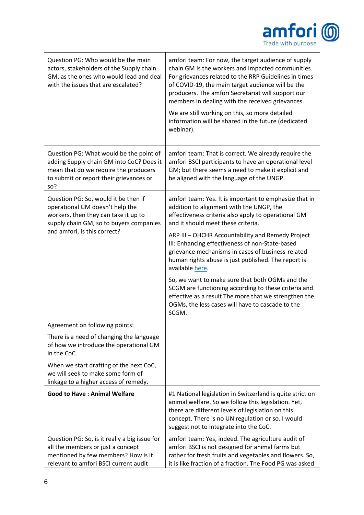

| Question PG: Who would be the main<br>actors, stakeholders of the Supply chain<br>GM, as the ones who would lead and deal<br>with the issues that are escalated?                           | amfori team: For now, the target audience of supply<br>chain GM is the workers and impacted communities.<br>For grievances related to the RRP Guidelines in times<br>of COVID-19, the main target audience will be the<br>producers. The amfori Secretariat will support our<br>members in dealing with the received grievances.<br>We are still working on this, so more detailed |
|--------------------------------------------------------------------------------------------------------------------------------------------------------------------------------------------|------------------------------------------------------------------------------------------------------------------------------------------------------------------------------------------------------------------------------------------------------------------------------------------------------------------------------------------------------------------------------------|
|                                                                                                                                                                                            | information will be shared in the future (dedicated<br>webinar).                                                                                                                                                                                                                                                                                                                   |
| Question PG: What would be the point of<br>adding Supply chain GM into CoC? Does it<br>mean that do we require the producers<br>to submit or report their grievances or<br>so?             | amfori team: That is correct. We already require the<br>amfori BSCI participants to have an operational level<br>GM; but there seems a need to make it explicit and<br>be aligned with the language of the UNGP.                                                                                                                                                                   |
| Question PG: So, would it be then if<br>operational GM doesn't help the<br>workers, then they can take it up to<br>supply chain GM, so to buyers companies<br>and amfori, is this correct? | amfori team: Yes. It is important to emphasize that in<br>addition to alignment with the UNGP, the<br>effectiveness criteria also apply to operational GM<br>and it should meet these criteria.                                                                                                                                                                                    |
|                                                                                                                                                                                            | ARP III - OHCHR Accountability and Remedy Project<br>III: Enhancing effectiveness of non-State-based<br>grievance mechanisms in cases of business-related<br>human rights abuse is just published. The report is<br>available here.                                                                                                                                                |
|                                                                                                                                                                                            | So, we want to make sure that both OGMs and the<br>SCGM are functioning according to these criteria and<br>effective as a result The more that we strengthen the<br>OGMs, the less cases will have to cascade to the<br>SCGM.                                                                                                                                                      |
| Agreement on following points:                                                                                                                                                             |                                                                                                                                                                                                                                                                                                                                                                                    |
| There is a need of changing the language<br>of how we introduce the operational GM<br>in the CoC.                                                                                          |                                                                                                                                                                                                                                                                                                                                                                                    |
| When we start drafting of the next CoC,<br>we will seek to make some form of<br>linkage to a higher access of remedy.                                                                      |                                                                                                                                                                                                                                                                                                                                                                                    |
| <b>Good to Have: Animal Welfare</b>                                                                                                                                                        | #1 National legislation in Switzerland is quite strict on<br>animal welfare. So we follow this legislation. Yet,<br>there are different levels of legislation on this<br>concept. There is no UN regulation or so. I would<br>suggest not to integrate into the CoC.                                                                                                               |
| Question PG: So, is it really a big issue for<br>all the members or just a concept<br>mentioned by few members? How is it<br>relevant to amfori BSCI current audit                         | amfori team: Yes, indeed. The agriculture audit of<br>amfori BSCI is not designed for animal farms but<br>rather for fresh fruits and vegetables and flowers. So,<br>it is like fraction of a fraction. The Food PG was asked                                                                                                                                                      |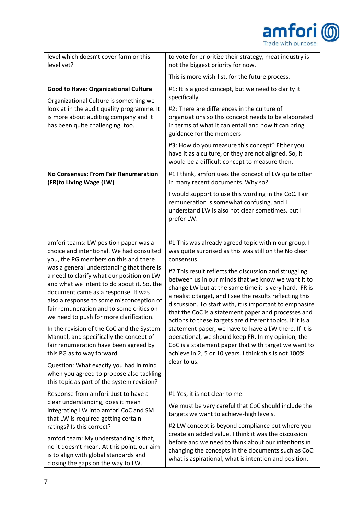

| level which doesn't cover farm or this<br>level yet?                                                                                                                                                                                                                                                                                                                                                                                         | to vote for prioritize their strategy, meat industry is<br>not the biggest priority for now.                                                                                                                                                                                                                                                                                                                                                                                       |
|----------------------------------------------------------------------------------------------------------------------------------------------------------------------------------------------------------------------------------------------------------------------------------------------------------------------------------------------------------------------------------------------------------------------------------------------|------------------------------------------------------------------------------------------------------------------------------------------------------------------------------------------------------------------------------------------------------------------------------------------------------------------------------------------------------------------------------------------------------------------------------------------------------------------------------------|
|                                                                                                                                                                                                                                                                                                                                                                                                                                              | This is more wish-list, for the future process.                                                                                                                                                                                                                                                                                                                                                                                                                                    |
| <b>Good to Have: Organizational Culture</b><br>Organizational Culture is something we                                                                                                                                                                                                                                                                                                                                                        | #1: It is a good concept, but we need to clarity it<br>specifically.                                                                                                                                                                                                                                                                                                                                                                                                               |
| look at in the audit quality programme. It<br>is more about auditing company and it<br>has been quite challenging, too.                                                                                                                                                                                                                                                                                                                      | #2: There are differences in the culture of<br>organizations so this concept needs to be elaborated<br>in terms of what it can entail and how it can bring<br>guidance for the members.                                                                                                                                                                                                                                                                                            |
|                                                                                                                                                                                                                                                                                                                                                                                                                                              | #3: How do you measure this concept? Either you<br>have it as a culture, or they are not aligned. So, it<br>would be a difficult concept to measure then.                                                                                                                                                                                                                                                                                                                          |
| <b>No Consensus: From Fair Renumeration</b><br>(FR)to Living Wage (LW)                                                                                                                                                                                                                                                                                                                                                                       | #1 I think, amfori uses the concept of LW quite often<br>in many recent documents. Why so?                                                                                                                                                                                                                                                                                                                                                                                         |
|                                                                                                                                                                                                                                                                                                                                                                                                                                              | I would support to use this wording in the CoC. Fair<br>remuneration is somewhat confusing, and I<br>understand LW is also not clear sometimes, but I<br>prefer LW.                                                                                                                                                                                                                                                                                                                |
| amfori teams: LW position paper was a<br>choice and intentional. We had consulted<br>you, the PG members on this and there<br>was a general understanding that there is<br>a need to clarify what our position on LW<br>and what we intent to do about it. So, the<br>document came as a response. It was<br>also a response to some misconception of<br>fair remuneration and to some critics on<br>we need to push for more clarification. | #1 This was already agreed topic within our group. I<br>was quite surprised as this was still on the No clear<br>consensus.<br>#2 This result reflects the discussion and struggling<br>between us in our minds that we know we want it to<br>change LW but at the same time it is very hard. FR is<br>a realistic target, and I see the results reflecting this<br>discussion. To start with, it is important to emphasize<br>that the CoC is a statement paper and processes and |
| In the revision of the CoC and the System<br>Manual, and specifically the concept of<br>fair renumeration have been agreed by<br>this PG as to way forward.<br>Question: What exactly you had in mind<br>when you agreed to propose also tackling<br>this topic as part of the system revision?                                                                                                                                              | actions to these targets are different topics. If it is a<br>statement paper, we have to have a LW there. If it is<br>operational, we should keep FR. In my opinion, the<br>CoC is a statement paper that with target we want to<br>achieve in 2, 5 or 10 years. I think this is not 100%<br>clear to us.                                                                                                                                                                          |
| Response from amfori: Just to have a<br>clear understanding, does it mean<br>integrating LW into amfori CoC and SM<br>that LW is required getting certain<br>ratings? Is this correct?<br>amfori team: My understanding is that,<br>no it doesn't mean. At this point, our aim<br>is to align with global standards and<br>closing the gaps on the way to LW.                                                                                | #1 Yes, it is not clear to me.<br>We must be very careful that CoC should include the<br>targets we want to achieve-high levels.<br>#2 LW concept is beyond compliance but where you<br>create an added value. I think it was the discussion<br>before and we need to think about our intentions in<br>changing the concepts in the documents such as CoC:<br>what is aspirational, what is intention and position.                                                                |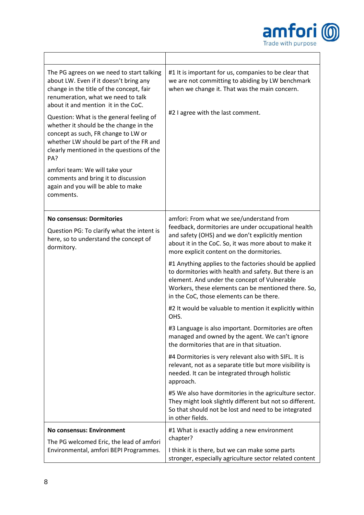

| The PG agrees on we need to start talking<br>about LW. Even if it doesn't bring any<br>change in the title of the concept, fair<br>renumeration, what we need to talk<br>about it and mention it in the CoC.<br>Question: What is the general feeling of<br>whether it should be the change in the<br>concept as such, FR change to LW or<br>whether LW should be part of the FR and<br>clearly mentioned in the questions of the<br>PA?<br>amfori team: We will take your<br>comments and bring it to discussion<br>again and you will be able to make<br>comments. | #1 It is important for us, companies to be clear that<br>we are not committing to abiding by LW benchmark<br>when we change it. That was the main concern.<br>#2 I agree with the last comment.                                                                     |
|----------------------------------------------------------------------------------------------------------------------------------------------------------------------------------------------------------------------------------------------------------------------------------------------------------------------------------------------------------------------------------------------------------------------------------------------------------------------------------------------------------------------------------------------------------------------|---------------------------------------------------------------------------------------------------------------------------------------------------------------------------------------------------------------------------------------------------------------------|
| <b>No consensus: Dormitories</b>                                                                                                                                                                                                                                                                                                                                                                                                                                                                                                                                     | amfori: From what we see/understand from                                                                                                                                                                                                                            |
| Question PG: To clarify what the intent is<br>here, so to understand the concept of<br>dormitory.                                                                                                                                                                                                                                                                                                                                                                                                                                                                    | feedback, dormitories are under occupational health<br>and safety (OHS) and we don't explicitly mention<br>about it in the CoC. So, it was more about to make it<br>more explicit content on the dormitories.                                                       |
|                                                                                                                                                                                                                                                                                                                                                                                                                                                                                                                                                                      | #1 Anything applies to the factories should be applied<br>to dormitories with health and safety. But there is an<br>element. And under the concept of Vulnerable<br>Workers, these elements can be mentioned there. So,<br>in the CoC, those elements can be there. |
|                                                                                                                                                                                                                                                                                                                                                                                                                                                                                                                                                                      | #2 It would be valuable to mention it explicitly within<br>OHS.                                                                                                                                                                                                     |
|                                                                                                                                                                                                                                                                                                                                                                                                                                                                                                                                                                      | #3 Language is also important. Dormitories are often<br>managed and owned by the agent. We can't ignore<br>the dormitories that are in that situation.                                                                                                              |
|                                                                                                                                                                                                                                                                                                                                                                                                                                                                                                                                                                      | #4 Dormitories is very relevant also with SIFL. It is<br>relevant, not as a separate title but more visibility is<br>needed. It can be integrated through holistic<br>approach.                                                                                     |
|                                                                                                                                                                                                                                                                                                                                                                                                                                                                                                                                                                      | #5 We also have dormitories in the agriculture sector.<br>They might look slightly different but not so different.<br>So that should not be lost and need to be integrated<br>in other fields.                                                                      |
| <b>No consensus: Environment</b>                                                                                                                                                                                                                                                                                                                                                                                                                                                                                                                                     | #1 What is exactly adding a new environment<br>chapter?                                                                                                                                                                                                             |
| The PG welcomed Eric, the lead of amfori<br>Environmental, amfori BEPI Programmes.                                                                                                                                                                                                                                                                                                                                                                                                                                                                                   | I think it is there, but we can make some parts<br>stronger, especially agriculture sector related content                                                                                                                                                          |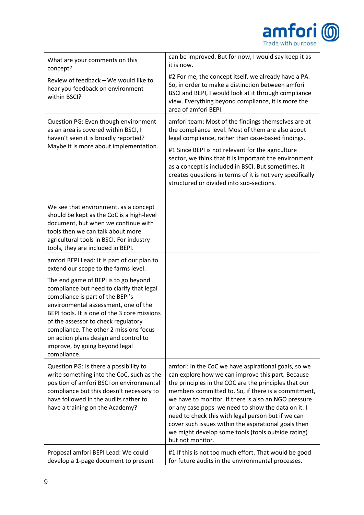

| What are your comments on this<br>concept?                                                                                                                                                                                                                                                                                                                                               | can be improved. But for now, I would say keep it as<br>it is now.                                                                                                                                                                                                                                                                                                                                                                                                                                                              |  |
|------------------------------------------------------------------------------------------------------------------------------------------------------------------------------------------------------------------------------------------------------------------------------------------------------------------------------------------------------------------------------------------|---------------------------------------------------------------------------------------------------------------------------------------------------------------------------------------------------------------------------------------------------------------------------------------------------------------------------------------------------------------------------------------------------------------------------------------------------------------------------------------------------------------------------------|--|
| Review of feedback - We would like to<br>hear you feedback on environment<br>within BSCI?                                                                                                                                                                                                                                                                                                | #2 For me, the concept itself, we already have a PA.<br>So, in order to make a distinction between amfori<br>BSCI and BEPI, I would look at it through compliance<br>view. Everything beyond compliance, it is more the<br>area of amfori BEPI.                                                                                                                                                                                                                                                                                 |  |
| Question PG: Even though environment<br>as an area is covered within BSCI, I<br>haven't seen it is broadly reported?<br>Maybe it is more about implementation.                                                                                                                                                                                                                           | amfori team: Most of the findings themselves are at<br>the compliance level. Most of them are also about<br>legal compliance, rather than case-based findings.<br>#1 Since BEPI is not relevant for the agriculture<br>sector, we think that it is important the environment<br>as a concept is included in BSCI. But sometimes, it<br>creates questions in terms of it is not very specifically<br>structured or divided into sub-sections.                                                                                    |  |
| We see that environment, as a concept<br>should be kept as the CoC is a high-level<br>document, but when we continue with<br>tools then we can talk about more<br>agricultural tools in BSCI. For industry<br>tools, they are included in BEPI.                                                                                                                                          |                                                                                                                                                                                                                                                                                                                                                                                                                                                                                                                                 |  |
| amfori BEPI Lead: It is part of our plan to<br>extend our scope to the farms level.                                                                                                                                                                                                                                                                                                      |                                                                                                                                                                                                                                                                                                                                                                                                                                                                                                                                 |  |
| The end game of BEPI is to go beyond<br>compliance but need to clarify that legal<br>compliance is part of the BEPI's<br>environmental assessment, one of the<br>BEPI tools. It is one of the 3 core missions<br>of the assessor to check regulatory<br>compliance. The other 2 missions focus<br>on action plans design and control to<br>improve, by going beyond legal<br>compliance. |                                                                                                                                                                                                                                                                                                                                                                                                                                                                                                                                 |  |
| Question PG: Is there a possibility to<br>write something into the CoC, such as the<br>position of amfori BSCI on environmental<br>compliance but this doesn't necessary to<br>have followed in the audits rather to<br>have a training on the Academy?                                                                                                                                  | amfori: In the CoC we have aspirational goals, so we<br>can explore how we can improve this part. Because<br>the principles in the COC are the principles that our<br>members committed to. So, if there is a commitment,<br>we have to monitor. If there is also an NGO pressure<br>or any case pops we need to show the data on it. I<br>need to check this with legal person but if we can<br>cover such issues within the aspirational goals then<br>we might develop some tools (tools outside rating)<br>but not monitor. |  |
| Proposal amfori BEPI Lead: We could<br>develop a 1-page document to present                                                                                                                                                                                                                                                                                                              | #1 If this is not too much effort. That would be good<br>for future audits in the environmental processes.                                                                                                                                                                                                                                                                                                                                                                                                                      |  |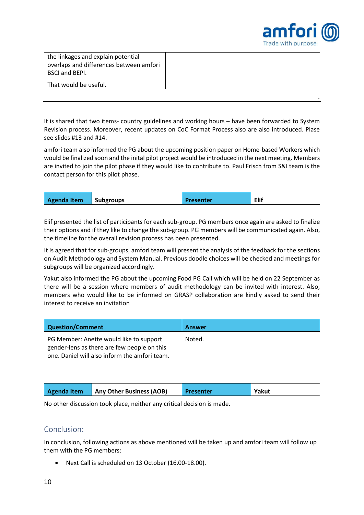

| the linkages and explain potential<br>overlaps and differences between amfori<br><b>BSCI and BEPI.</b> |  |
|--------------------------------------------------------------------------------------------------------|--|
| That would be useful.                                                                                  |  |
|                                                                                                        |  |

It is shared that two items- country guidelines and working hours – have been forwarded to System Revision process. Moreover, recent updates on CoC Format Process also are also introduced. Plase see slides #13 and #14.

amfori team also informed the PG about the upcoming position paper on Home-based Workers which would be finalized soon and the inital pilot project would be introduced in the next meeting. Members are invited to join the pilot phase if they would like to contribute to. Paul Frisch from S&I team is the contact person for this pilot phase.

| Elif<br><b>Subgroups</b><br>Agenda Item<br><b>Presenter</b> |
|-------------------------------------------------------------|
|-------------------------------------------------------------|

Elif presented the list of participants for each sub-group. PG members once again are asked to finalize their options and if they like to change the sub-group. PG members will be communicated again. Also, the timeline for the overall revision process has been presented.

It is agreed that for sub-groups, amfori team will present the analysis of the feedback for the sections on Audit Methodology and System Manual. Previous doodle choices will be checked and meetings for subgroups will be organized accordingly.

Yakut also informed the PG about the upcoming Food PG Call which will be held on 22 September as there will be a session where members of audit methodology can be invited with interest. Also, members who would like to be informed on GRASP collaboration are kindly asked to send their interest to receive an invitation

| Question/Comment                                                                             | <b>Answer</b> |
|----------------------------------------------------------------------------------------------|---------------|
| PG Member: Anette would like to support                                                      | Noted.        |
| gender-lens as there are few people on this<br>one. Daniel will also inform the amfori team. |               |

| Agenda Item | Any Other Business (AOB) | Presenter | Yakut |
|-------------|--------------------------|-----------|-------|
|             |                          |           |       |

No other discussion took place, neither any critical decision is made.

#### Conclusion:

In conclusion, following actions as above mentioned will be taken up and amfori team will follow up them with the PG members:

• Next Call is scheduled on 13 October (16.00-18.00).